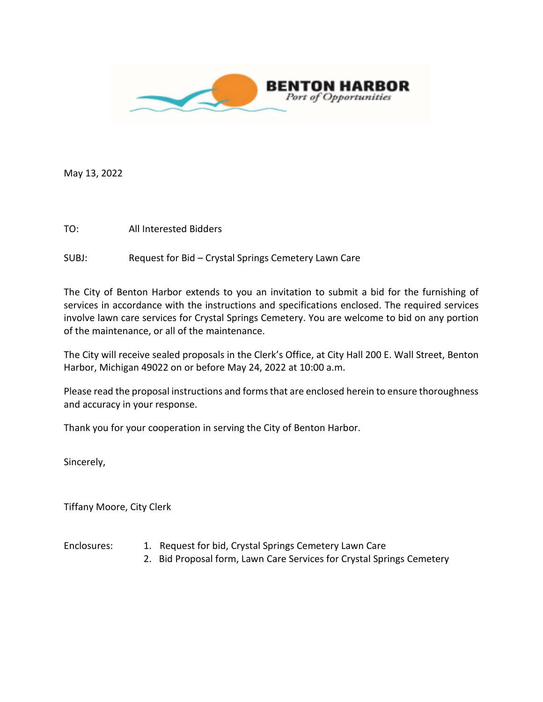

May 13, 2022

TO: All Interested Bidders

SUBJ: Request for Bid – Crystal Springs Cemetery Lawn Care

The City of Benton Harbor extends to you an invitation to submit a bid for the furnishing of services in accordance with the instructions and specifications enclosed. The required services involve lawn care services for Crystal Springs Cemetery. You are welcome to bid on any portion of the maintenance, or all of the maintenance.

The City will receive sealed proposals in the Clerk's Office, at City Hall 200 E. Wall Street, Benton Harbor, Michigan 49022 on or before May 24, 2022 at 10:00 a.m.

Please read the proposal instructions and forms that are enclosed herein to ensure thoroughness and accuracy in your response.

Thank you for your cooperation in serving the City of Benton Harbor.

Sincerely,

Tiffany Moore, City Clerk

- Enclosures: 1. Request for bid, Crystal Springs Cemetery Lawn Care
	- 2. Bid Proposal form, Lawn Care Services for Crystal Springs Cemetery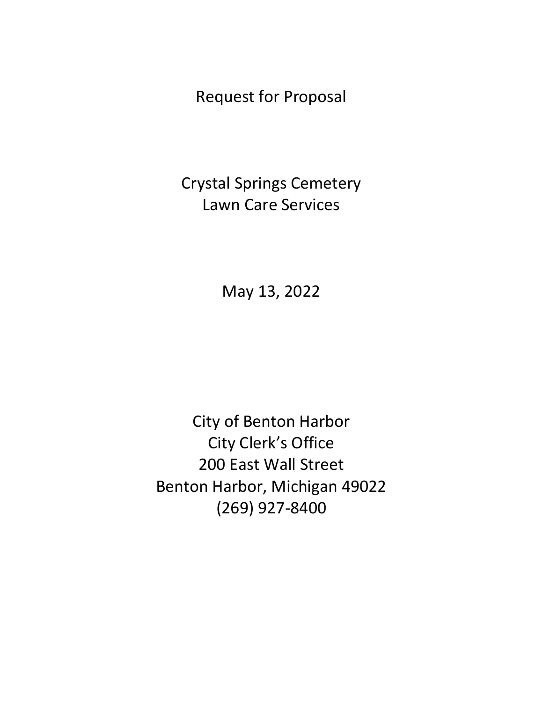Request for Proposal

Crystal Springs Cemetery Lawn Care Services

May 13, 2022

City of Benton Harbor City Clerk's Office 200 East Wall Street Benton Harbor, Michigan 49022 (269) 927-8400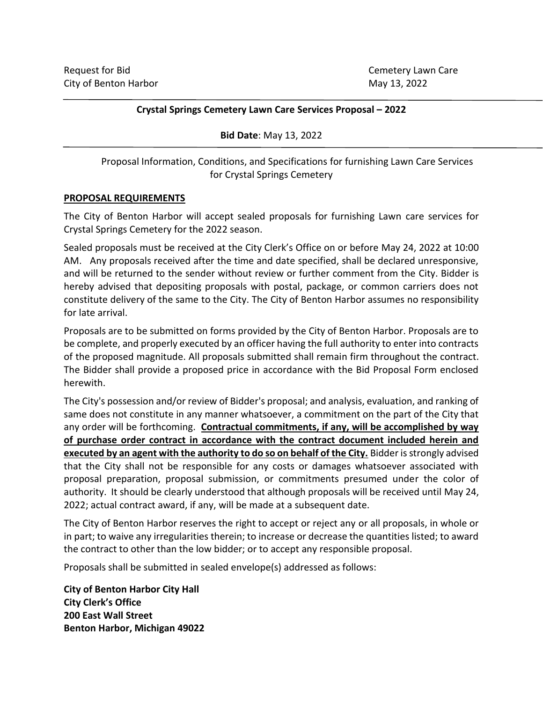#### **Crystal Springs Cemetery Lawn Care Services Proposal – 2022**

**Bid Date**: May 13, 2022

Proposal Information, Conditions, and Specifications for furnishing Lawn Care Services for Crystal Springs Cemetery

#### **PROPOSAL REQUIREMENTS**

The City of Benton Harbor will accept sealed proposals for furnishing Lawn care services for Crystal Springs Cemetery for the 2022 season.

Sealed proposals must be received at the City Clerk's Office on or before May 24, 2022 at 10:00 AM. Any proposals received after the time and date specified, shall be declared unresponsive, and will be returned to the sender without review or further comment from the City. Bidder is hereby advised that depositing proposals with postal, package, or common carriers does not constitute delivery of the same to the City. The City of Benton Harbor assumes no responsibility for late arrival.

Proposals are to be submitted on forms provided by the City of Benton Harbor. Proposals are to be complete, and properly executed by an officer having the full authority to enter into contracts of the proposed magnitude. All proposals submitted shall remain firm throughout the contract. The Bidder shall provide a proposed price in accordance with the Bid Proposal Form enclosed herewith.

The City's possession and/or review of Bidder's proposal; and analysis, evaluation, and ranking of same does not constitute in any manner whatsoever, a commitment on the part of the City that any order will be forthcoming. **Contractual commitments, if any, will be accomplished by way of purchase order contract in accordance with the contract document included herein and executed by an agent with the authority to do so on behalf of the City.** Bidder is strongly advised that the City shall not be responsible for any costs or damages whatsoever associated with proposal preparation, proposal submission, or commitments presumed under the color of authority. It should be clearly understood that although proposals will be received until May 24, 2022; actual contract award, if any, will be made at a subsequent date.

The City of Benton Harbor reserves the right to accept or reject any or all proposals, in whole or in part; to waive any irregularities therein; to increase or decrease the quantities listed; to award the contract to other than the low bidder; or to accept any responsible proposal.

Proposals shall be submitted in sealed envelope(s) addressed as follows:

**City of Benton Harbor City Hall City Clerk's Office 200 East Wall Street Benton Harbor, Michigan 49022**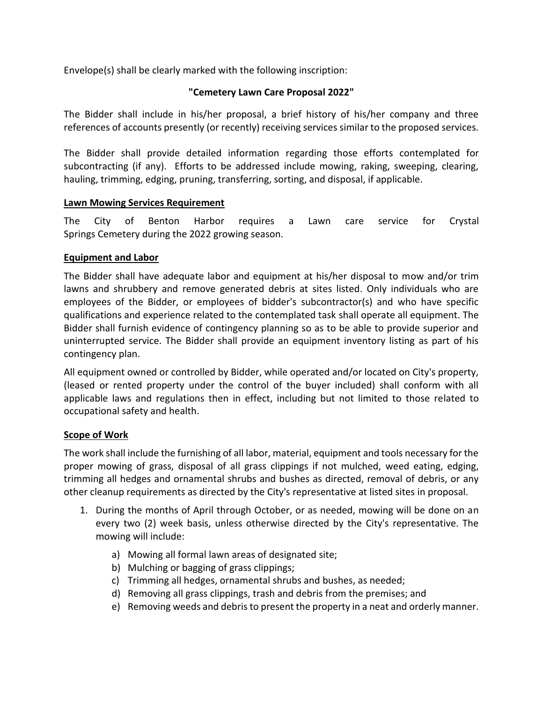Envelope(s) shall be clearly marked with the following inscription:

# **"Cemetery Lawn Care Proposal 2022"**

The Bidder shall include in his/her proposal, a brief history of his/her company and three references of accounts presently (or recently) receiving services similar to the proposed services.

The Bidder shall provide detailed information regarding those efforts contemplated for subcontracting (if any). Efforts to be addressed include mowing, raking, sweeping, clearing, hauling, trimming, edging, pruning, transferring, sorting, and disposal, if applicable.

# **Lawn Mowing Services Requirement**

The City of Benton Harbor requires a Lawn care service for Crystal Springs Cemetery during the 2022 growing season.

# **Equipment and Labor**

The Bidder shall have adequate labor and equipment at his/her disposal to mow and/or trim lawns and shrubbery and remove generated debris at sites listed. Only individuals who are employees of the Bidder, or employees of bidder's subcontractor(s) and who have specific qualifications and experience related to the contemplated task shall operate all equipment. The Bidder shall furnish evidence of contingency planning so as to be able to provide superior and uninterrupted service. The Bidder shall provide an equipment inventory listing as part of his contingency plan.

All equipment owned or controlled by Bidder, while operated and/or located on City's property, (leased or rented property under the control of the buyer included) shall conform with all applicable laws and regulations then in effect, including but not limited to those related to occupational safety and health.

# **Scope of Work**

The work shall include the furnishing of all labor, material, equipment and tools necessary for the proper mowing of grass, disposal of all grass clippings if not mulched, weed eating, edging, trimming all hedges and ornamental shrubs and bushes as directed, removal of debris, or any other cleanup requirements as directed by the City's representative at listed sites in proposal.

- 1. During the months of April through October, or as needed, mowing will be done on an every two (2) week basis, unless otherwise directed by the City's representative. The mowing will include:
	- a) Mowing all formal lawn areas of designated site;
	- b) Mulching or bagging of grass clippings;
	- c) Trimming all hedges, ornamental shrubs and bushes, as needed;
	- d) Removing all grass clippings, trash and debris from the premises; and
	- e) Removing weeds and debris to present the property in a neat and orderly manner.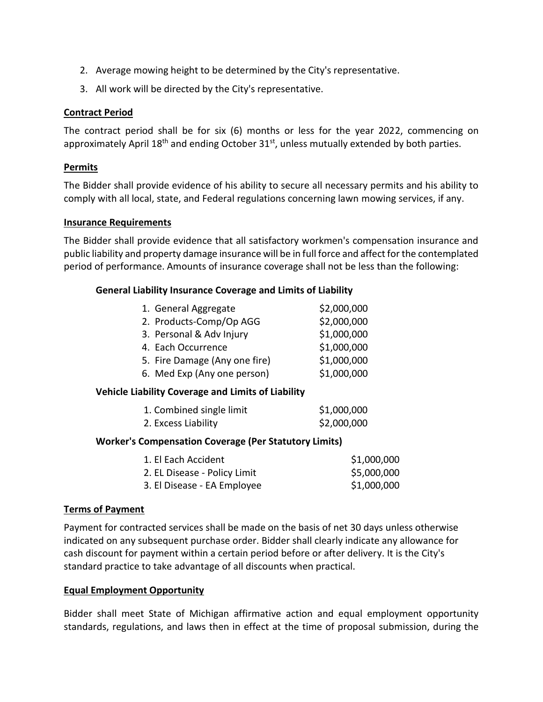- 2. Average mowing height to be determined by the City's representative.
- 3. All work will be directed by the City's representative.

#### **Contract Period**

The contract period shall be for six (6) months or less for the year 2022, commencing on approximately April 18<sup>th</sup> and ending October 31<sup>st</sup>, unless mutually extended by both parties.

### **Permits**

The Bidder shall provide evidence of his ability to secure all necessary permits and his ability to comply with all local, state, and Federal regulations concerning lawn mowing services, if any.

#### **Insurance Requirements**

The Bidder shall provide evidence that all satisfactory workmen's compensation insurance and public liability and property damage insurance will be in full force and affect for the contemplated period of performance. Amounts of insurance coverage shall not be less than the following:

#### **General Liability Insurance Coverage and Limits of Liability**

| 1. General Aggregate          | \$2,000,000 |
|-------------------------------|-------------|
| 2. Products-Comp/Op AGG       | \$2,000,000 |
| 3. Personal & Adv Injury      | \$1,000,000 |
| 4. Each Occurrence            | \$1,000,000 |
| 5. Fire Damage (Any one fire) | \$1,000,000 |
| 6. Med Exp (Any one person)   | \$1,000,000 |

#### **Vehicle Liability Coverage and Limits of Liability**

| 1. Combined single limit | \$1,000,000 |
|--------------------------|-------------|
| 2. Excess Liability      | \$2,000,000 |

#### **Worker's Compensation Coverage (Per Statutory Limits)**

| 1. El Each Accident          | \$1,000,000 |
|------------------------------|-------------|
| 2. EL Disease - Policy Limit | \$5,000,000 |
| 3. El Disease - EA Employee  | \$1,000,000 |

#### **Terms of Payment**

Payment for contracted services shall be made on the basis of net 30 days unless otherwise indicated on any subsequent purchase order. Bidder shall clearly indicate any allowance for cash discount for payment within a certain period before or after delivery. It is the City's standard practice to take advantage of all discounts when practical.

#### **Equal Employment Opportunity**

Bidder shall meet State of Michigan affirmative action and equal employment opportunity standards, regulations, and laws then in effect at the time of proposal submission, during the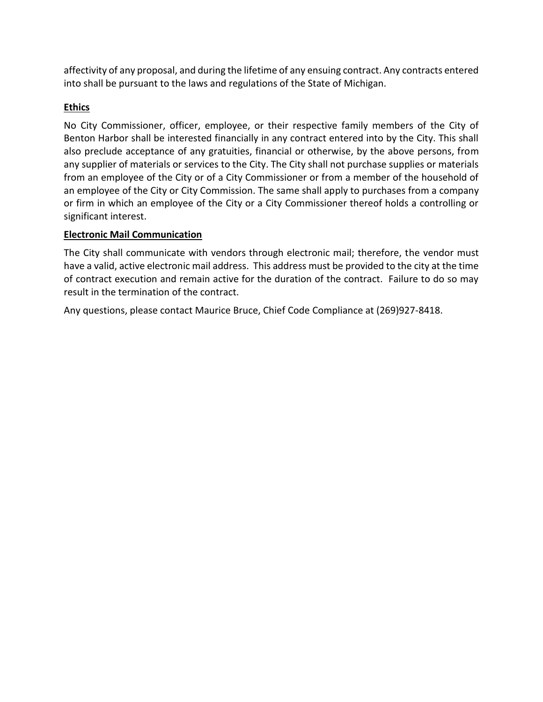affectivity of any proposal, and during the lifetime of any ensuing contract. Any contracts entered into shall be pursuant to the laws and regulations of the State of Michigan.

# **Ethics**

No City Commissioner, officer, employee, or their respective family members of the City of Benton Harbor shall be interested financially in any contract entered into by the City. This shall also preclude acceptance of any gratuities, financial or otherwise, by the above persons, from any supplier of materials or services to the City. The City shall not purchase supplies or materials from an employee of the City or of a City Commissioner or from a member of the household of an employee of the City or City Commission. The same shall apply to purchases from a company or firm in which an employee of the City or a City Commissioner thereof holds a controlling or significant interest.

# **Electronic Mail Communication**

The City shall communicate with vendors through electronic mail; therefore, the vendor must have a valid, active electronic mail address. This address must be provided to the city at the time of contract execution and remain active for the duration of the contract. Failure to do so may result in the termination of the contract.

Any questions, please contact Maurice Bruce, Chief Code Compliance at (269)927-8418.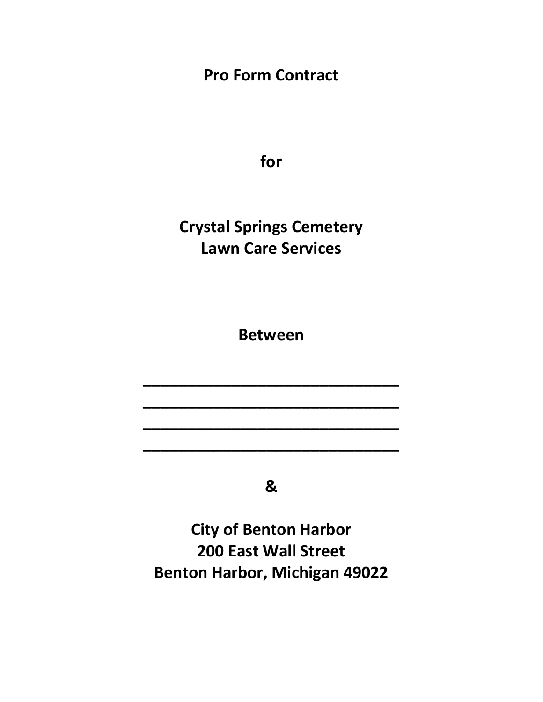**Pro Form Contract**

**for**

**Crystal Springs Cemetery Lawn Care Services**

**Between**

**\_\_\_\_\_\_\_\_\_\_\_\_\_\_\_\_\_\_\_\_\_\_\_\_\_\_\_\_\_**

**\_\_\_\_\_\_\_\_\_\_\_\_\_\_\_\_\_\_\_\_\_\_\_\_\_\_\_\_\_**

**\_\_\_\_\_\_\_\_\_\_\_\_\_\_\_\_\_\_\_\_\_\_\_\_\_\_\_\_\_**

**\_\_\_\_\_\_\_\_\_\_\_\_\_\_\_\_\_\_\_\_\_\_\_\_\_\_\_\_\_**

**&**

**City of Benton Harbor 200 East Wall Street Benton Harbor, Michigan 49022**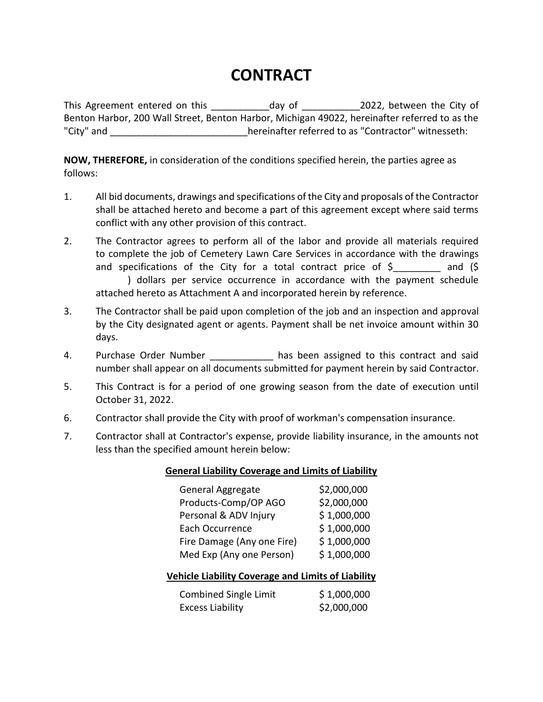# **CONTRACT**

This Agreement entered on this entity of the City of this Agreement entered on this Benton Harbor, 200 Wall Street, Benton Harbor, Michigan 49022, hereinafter referred to as the "City" and  $\blacksquare$  and  $\blacksquare$ 

**NOW, THEREFORE,** in consideration of the conditions specified herein, the parties agree as follows:

- 1. All bid documents, drawings and specifications of the City and proposals of the Contractor shall be attached hereto and become a part of this agreement except where said terms conflict with any other provision of this contract.
- 2. The Contractor agrees to perform all of the labor and provide all materials required to complete the job of Cemetery Lawn Care Services in accordance with the drawings and specifications of the City for a total contract price of \$\_\_\_\_\_\_\_\_\_ and (\$ ) dollars per service occurrence in accordance with the payment schedule attached hereto as Attachment A and incorporated herein by reference.
- 3. The Contractor shall be paid upon completion of the job and an inspection and approval by the City designated agent or agents. Payment shall be net invoice amount within 30 days.
- 4. Purchase Order Number **has been assigned to this contract and said** number shall appear on all documents submitted for payment herein by said Contractor.
- 5. This Contract is for a period of one growing season from the date of execution until October 31, 2022.
- 6. Contractor shall provide the City with proof of workman's compensation insurance.
- 7. Contractor shall at Contractor's expense, provide liability insurance, in the amounts not less than the specified amount herein below:

# **General Liability Coverage and Limits of Liability**

| <b>General Aggregate</b>   | \$2,000,000 |
|----------------------------|-------------|
| Products-Comp/OP AGO       | \$2,000,000 |
| Personal & ADV Injury      | \$1,000,000 |
| Each Occurrence            | \$1,000,000 |
| Fire Damage (Any one Fire) | \$1,000,000 |
| Med Exp (Any one Person)   | \$1,000,000 |

# **Vehicle Liability Coverage and Limits of Liability**

| Combined Single Limit   | \$1,000,000 |
|-------------------------|-------------|
| <b>Excess Liability</b> | \$2,000,000 |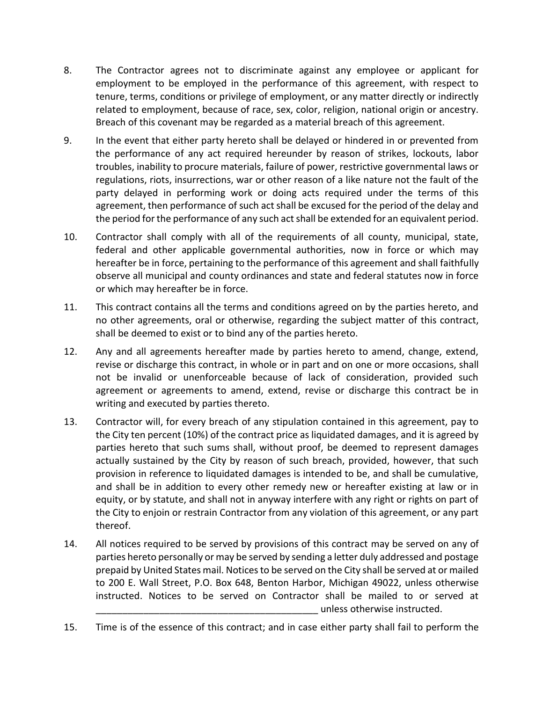- 8. The Contractor agrees not to discriminate against any employee or applicant for employment to be employed in the performance of this agreement, with respect to tenure, terms, conditions or privilege of employment, or any matter directly or indirectly related to employment, because of race, sex, color, religion, national origin or ancestry. Breach of this covenant may be regarded as a material breach of this agreement.
- 9. In the event that either party hereto shall be delayed or hindered in or prevented from the performance of any act required hereunder by reason of strikes, lockouts, labor troubles, inability to procure materials, failure of power, restrictive governmental laws or regulations, riots, insurrections, war or other reason of a like nature not the fault of the party delayed in performing work or doing acts required under the terms of this agreement, then performance of such act shall be excused for the period of the delay and the period for the performance of any such act shall be extended for an equivalent period.
- 10. Contractor shall comply with all of the requirements of all county, municipal, state, federal and other applicable governmental authorities, now in force or which may hereafter be in force, pertaining to the performance of this agreement and shall faithfully observe all municipal and county ordinances and state and federal statutes now in force or which may hereafter be in force.
- 11. This contract contains all the terms and conditions agreed on by the parties hereto, and no other agreements, oral or otherwise, regarding the subject matter of this contract, shall be deemed to exist or to bind any of the parties hereto.
- 12. Any and all agreements hereafter made by parties hereto to amend, change, extend, revise or discharge this contract, in whole or in part and on one or more occasions, shall not be invalid or unenforceable because of lack of consideration, provided such agreement or agreements to amend, extend, revise or discharge this contract be in writing and executed by parties thereto.
- 13. Contractor will, for every breach of any stipulation contained in this agreement, pay to the City ten percent (10%) of the contract price as liquidated damages, and it is agreed by parties hereto that such sums shall, without proof, be deemed to represent damages actually sustained by the City by reason of such breach, provided, however, that such provision in reference to liquidated damages is intended to be, and shall be cumulative, and shall be in addition to every other remedy new or hereafter existing at law or in equity, or by statute, and shall not in anyway interfere with any right or rights on part of the City to enjoin or restrain Contractor from any violation of this agreement, or any part thereof.
- 14. All notices required to be served by provisions of this contract may be served on any of parties hereto personally or may be served by sending a letter duly addressed and postage prepaid by United States mail. Notices to be served on the City shall be served at or mailed to 200 E. Wall Street, P.O. Box 648, Benton Harbor, Michigan 49022, unless otherwise instructed. Notices to be served on Contractor shall be mailed to or served at \_\_\_\_\_\_\_\_\_\_\_\_\_\_\_\_\_\_\_\_\_\_\_\_\_\_\_\_\_\_\_\_\_\_\_\_\_\_\_\_\_\_ unless otherwise instructed.
- 15. Time is of the essence of this contract; and in case either party shall fail to perform the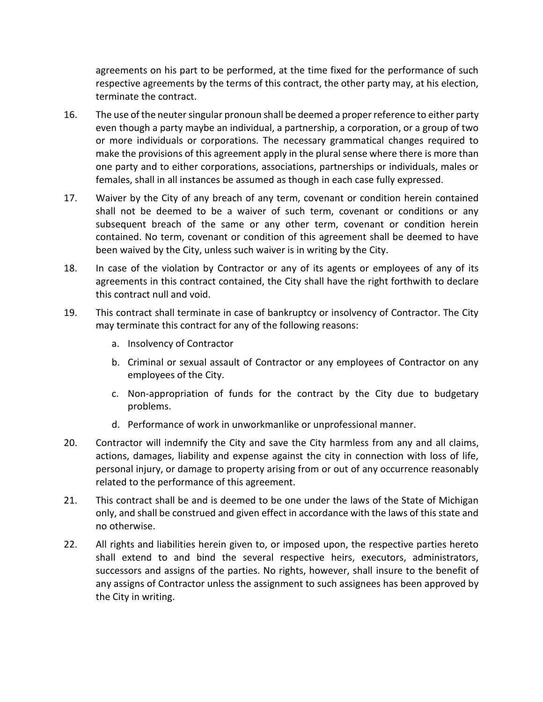agreements on his part to be performed, at the time fixed for the performance of such respective agreements by the terms of this contract, the other party may, at his election, terminate the contract.

- 16. The use of the neuter singular pronoun shall be deemed a proper reference to either party even though a party maybe an individual, a partnership, a corporation, or a group of two or more individuals or corporations. The necessary grammatical changes required to make the provisions of this agreement apply in the plural sense where there is more than one party and to either corporations, associations, partnerships or individuals, males or females, shall in all instances be assumed as though in each case fully expressed.
- 17. Waiver by the City of any breach of any term, covenant or condition herein contained shall not be deemed to be a waiver of such term, covenant or conditions or any subsequent breach of the same or any other term, covenant or condition herein contained. No term, covenant or condition of this agreement shall be deemed to have been waived by the City, unless such waiver is in writing by the City.
- 18. In case of the violation by Contractor or any of its agents or employees of any of its agreements in this contract contained, the City shall have the right forthwith to declare this contract null and void.
- 19. This contract shall terminate in case of bankruptcy or insolvency of Contractor. The City may terminate this contract for any of the following reasons:
	- a. Insolvency of Contractor
	- b. Criminal or sexual assault of Contractor or any employees of Contractor on any employees of the City.
	- c. Non-appropriation of funds for the contract by the City due to budgetary problems.
	- d. Performance of work in unworkmanlike or unprofessional manner.
- 20. Contractor will indemnify the City and save the City harmless from any and all claims, actions, damages, liability and expense against the city in connection with loss of life, personal injury, or damage to property arising from or out of any occurrence reasonably related to the performance of this agreement.
- 21. This contract shall be and is deemed to be one under the laws of the State of Michigan only, and shall be construed and given effect in accordance with the laws of this state and no otherwise.
- 22. All rights and liabilities herein given to, or imposed upon, the respective parties hereto shall extend to and bind the several respective heirs, executors, administrators, successors and assigns of the parties. No rights, however, shall insure to the benefit of any assigns of Contractor unless the assignment to such assignees has been approved by the City in writing.